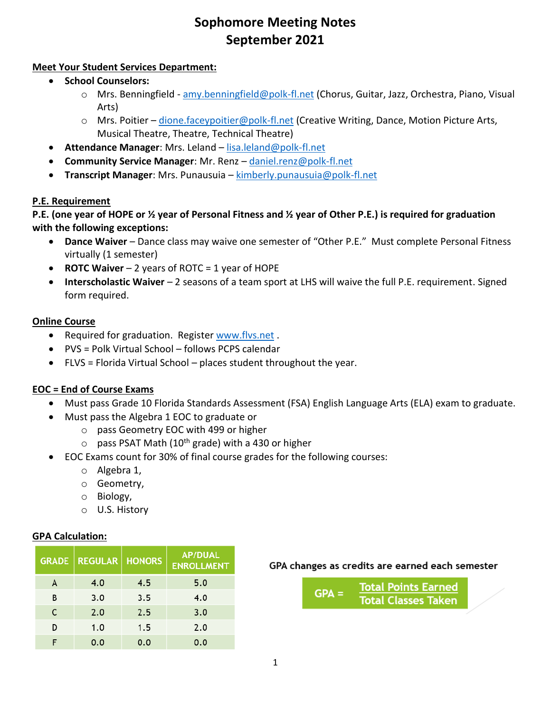# **Sophomore Meeting Notes September 2021**

# **Meet Your Student Services Department:**

- **School Counselors:**
	- o Mrs. Benningfield [amy.benningfield@polk-fl.net](mailto:amy.benningfield@polk-fl.net) (Chorus, Guitar, Jazz, Orchestra, Piano, Visual Arts)
	- $\circ$  Mrs. Poitier [dione.faceypoitier@polk-fl.net](mailto:dione.faceypoitier@polk-fl.net) (Creative Writing, Dance, Motion Picture Arts, Musical Theatre, Theatre, Technical Theatre)
- **Attendance Manager**: Mrs. Leland [lisa.leland@polk-fl.net](mailto:lisa.leland@polk-fl.net)
- **Community Service Manager**: Mr. Renz [daniel.renz@polk-fl.net](mailto:daniel.renz@polk-fl.net)
- **Transcript Manager**: Mrs. Punausuia [kimberly.punausuia@polk-fl.net](mailto:kimberly.punausuia@polk-fl.net)

# **P.E. Requirement**

**P.E. (one year of HOPE or ½ year of Personal Fitness and ½ year of Other P.E.) is required for graduation with the following exceptions:**

- **Dance Waiver** Dance class may waive one semester of "Other P.E." Must complete Personal Fitness virtually (1 semester)
- **ROTC Waiver** 2 years of ROTC = 1 year of HOPE
- **Interscholastic Waiver** 2 seasons of a team sport at LHS will waive the full P.E. requirement. Signed form required.

# **Online Course**

- Required for graduation. Register [www.flvs.net](http://www.flvs.net/) .
- PVS = Polk Virtual School follows PCPS calendar
- FLVS = Florida Virtual School places student throughout the year.

# **EOC = End of Course Exams**

- Must pass Grade 10 Florida Standards Assessment (FSA) English Language Arts (ELA) exam to graduate.
- Must pass the Algebra 1 EOC to graduate or
	- o pass Geometry EOC with 499 or higher
	- $\circ$  pass PSAT Math (10<sup>th</sup> grade) with a 430 or higher
- EOC Exams count for 30% of final course grades for the following courses:
	- o Algebra 1,
	- o Geometry,
	- o Biology,
	- o U.S. History

#### **GPA Calculation:**

|   | <b>GRADE   REGULAR  </b> | <b>HONORS</b> | <b>AP/DUAL</b><br><b>ENROLLMENT</b> |
|---|--------------------------|---------------|-------------------------------------|
| A | 4.0                      | 4.5           | 5.0                                 |
| в | 3.0                      | 3.5           | 4.0                                 |
| C | 2.0                      | 2.5           | 3.0                                 |
| D | 1.0                      | 1.5           | 2.0                                 |
|   | 0.0                      | 0.0           | 0.0                                 |

#### GPA changes as credits are earned each semester

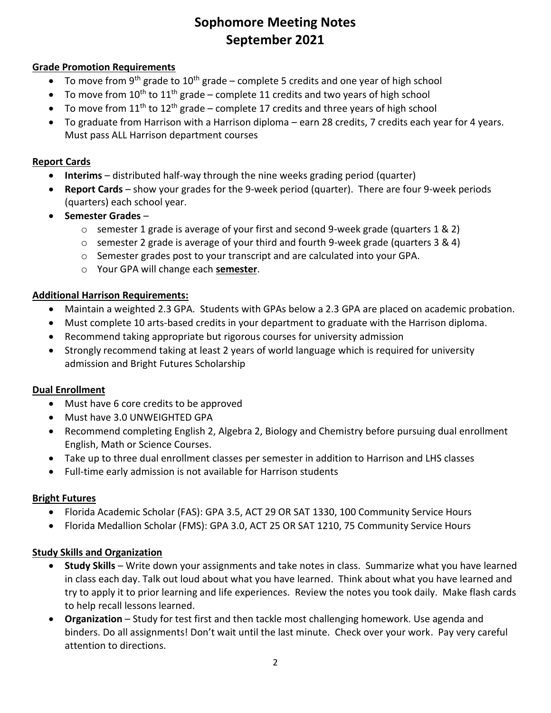# **Sophomore Meeting Notes September 2021**

### **Grade Promotion Requirements**

- To move from 9<sup>th</sup> grade to 10<sup>th</sup> grade complete 5 credits and one year of high school
- To move from  $10^{th}$  to  $11^{th}$  grade complete 11 credits and two years of high school
- To move from  $11<sup>th</sup>$  to  $12<sup>th</sup>$  grade complete 17 credits and three years of high school
- To graduate from Harrison with a Harrison diploma earn 28 credits, 7 credits each year for 4 years. Must pass ALL Harrison department courses

#### **Report Cards**

- **Interims**  distributed half-way through the nine weeks grading period (quarter)
- **Report Cards** show your grades for the 9-week period (quarter). There are four 9-week periods (quarters) each school year.
- **Semester Grades**
	- $\circ$  semester 1 grade is average of your first and second 9-week grade (quarters 1 & 2)
	- o semester 2 grade is average of your third and fourth 9-week grade (quarters 3 & 4)
	- $\circ$  Semester grades post to your transcript and are calculated into your GPA.
	- o Your GPA will change each **semester**.

#### **Additional Harrison Requirements:**

- Maintain a weighted 2.3 GPA. Students with GPAs below a 2.3 GPA are placed on academic probation.
- Must complete 10 arts-based credits in your department to graduate with the Harrison diploma.
- Recommend taking appropriate but rigorous courses for university admission
- Strongly recommend taking at least 2 years of world language which is required for university admission and Bright Futures Scholarship

#### **Dual Enrollment**

- Must have 6 core credits to be approved
- Must have 3.0 UNWEIGHTED GPA
- Recommend completing English 2, Algebra 2, Biology and Chemistry before pursuing dual enrollment English, Math or Science Courses.
- Take up to three dual enrollment classes per semester in addition to Harrison and LHS classes
- Full-time early admission is not available for Harrison students

#### **Bright Futures**

- Florida Academic Scholar (FAS): GPA 3.5, ACT 29 OR SAT 1330, 100 Community Service Hours
- Florida Medallion Scholar (FMS): GPA 3.0, ACT 25 OR SAT 1210, 75 Community Service Hours

#### **Study Skills and Organization**

- **Study Skills** Write down your assignments and take notes in class. Summarize what you have learned in class each day. Talk out loud about what you have learned. Think about what you have learned and try to apply it to prior learning and life experiences. Review the notes you took daily. Make flash cards to help recall lessons learned.
- **Organization** Study for test first and then tackle most challenging homework. Use agenda and binders. Do all assignments! Don't wait until the last minute. Check over your work. Pay very careful attention to directions.